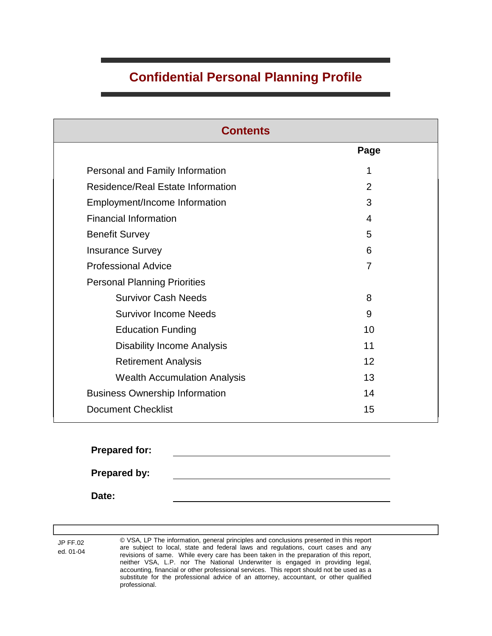# **Confidential Personal Planning Profile**

| <b>Contents</b>                       |      |  |
|---------------------------------------|------|--|
|                                       | Page |  |
| Personal and Family Information       | 1    |  |
| Residence/Real Estate Information     | 2    |  |
| Employment/Income Information         | 3    |  |
| <b>Financial Information</b>          | 4    |  |
| <b>Benefit Survey</b>                 | 5    |  |
| <b>Insurance Survey</b>               | 6    |  |
| <b>Professional Advice</b>            | 7    |  |
| <b>Personal Planning Priorities</b>   |      |  |
| <b>Survivor Cash Needs</b>            | 8    |  |
| <b>Survivor Income Needs</b>          | 9    |  |
| <b>Education Funding</b>              | 10   |  |
| <b>Disability Income Analysis</b>     | 11   |  |
| <b>Retirement Analysis</b>            | 12   |  |
| <b>Wealth Accumulation Analysis</b>   | 13   |  |
| <b>Business Ownership Information</b> | 14   |  |
| <b>Document Checklist</b>             | 15   |  |

**Prepared for: Prepared by: Date:**

JP FF.02 ed. 01-04 © VSA, LP The information, general principles and conclusions presented in this report are subject to local, state and federal laws and regulations, court cases and any revisions of same. While every care has been taken in the preparation of this report, neither VSA, L.P. nor The National Underwriter is engaged in providing legal, accounting, financial or other professional services. This report should not be used as a substitute for the professional advice of an attorney, accountant, or other qualified professional.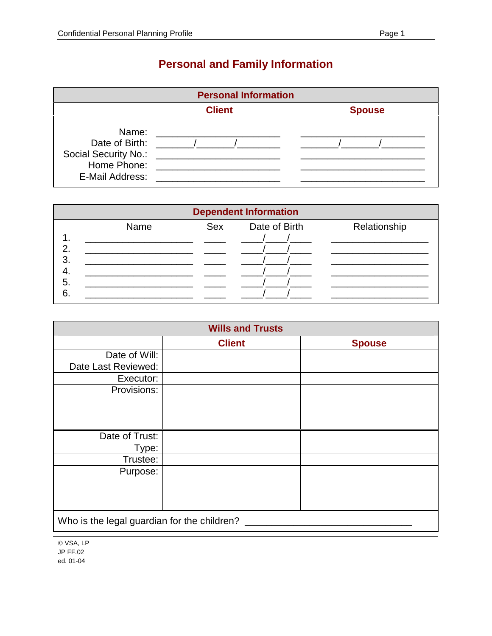# **Personal and Family Information**

| <b>Personal Information</b>                                                       |            |  |  |
|-----------------------------------------------------------------------------------|------------|--|--|
| <b>Client</b><br><b>Spouse</b>                                                    |            |  |  |
| Name:<br>Date of Birth:<br>Social Security No.:<br>Home Phone:<br>E-Mail Address: | $\sqrt{1}$ |  |  |

| <b>Dependent Information</b> |      |     |               |              |
|------------------------------|------|-----|---------------|--------------|
|                              | Name | Sex | Date of Birth | Relationship |
|                              |      |     |               |              |
| 2                            |      |     |               |              |
| 3                            |      |     |               |              |
| 4.<br>5.                     |      |     |               |              |
| 6                            |      |     |               |              |
|                              |      |     |               |              |

| <b>Wills and Trusts</b>                     |               |               |  |  |
|---------------------------------------------|---------------|---------------|--|--|
|                                             | <b>Client</b> | <b>Spouse</b> |  |  |
| Date of Will:                               |               |               |  |  |
| Date Last Reviewed:                         |               |               |  |  |
| Executor:                                   |               |               |  |  |
| Provisions:                                 |               |               |  |  |
| Date of Trust:                              |               |               |  |  |
| Type:                                       |               |               |  |  |
| Trustee:                                    |               |               |  |  |
| Purpose:                                    |               |               |  |  |
| Who is the legal guardian for the children? |               |               |  |  |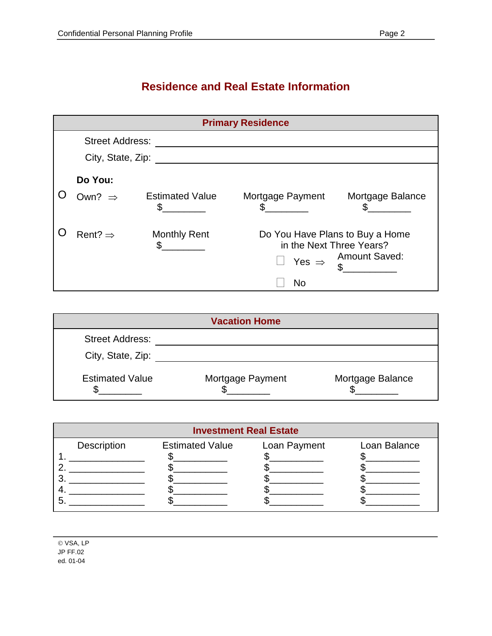## **Residence and Real Estate Information**

| <b>Primary Residence</b>      |                             |                                                                                  |                      |  |
|-------------------------------|-----------------------------|----------------------------------------------------------------------------------|----------------------|--|
| <b>Street Address:</b>        |                             |                                                                                  |                      |  |
| City, State, Zip:             |                             |                                                                                  |                      |  |
| Do You:<br>Own? $\Rightarrow$ | <b>Estimated Value</b><br>S | Mortgage Payment                                                                 | Mortgage Balance     |  |
| Rent? $\Rightarrow$           | <b>Monthly Rent</b>         | Do You Have Plans to Buy a Home<br>in the Next Three Years?<br>Yes $\Rightarrow$ | <b>Amount Saved:</b> |  |
|                               |                             | No                                                                               |                      |  |

| <b>Vacation Home</b>   |                  |                  |  |
|------------------------|------------------|------------------|--|
| <b>Street Address:</b> |                  |                  |  |
| City, State, Zip:      |                  |                  |  |
| <b>Estimated Value</b> | Mortgage Payment | Mortgage Balance |  |

| <b>Investment Real Estate</b> |             |                        |              |              |
|-------------------------------|-------------|------------------------|--------------|--------------|
|                               | Description | <b>Estimated Value</b> | Loan Payment | Loan Balance |
|                               |             |                        |              |              |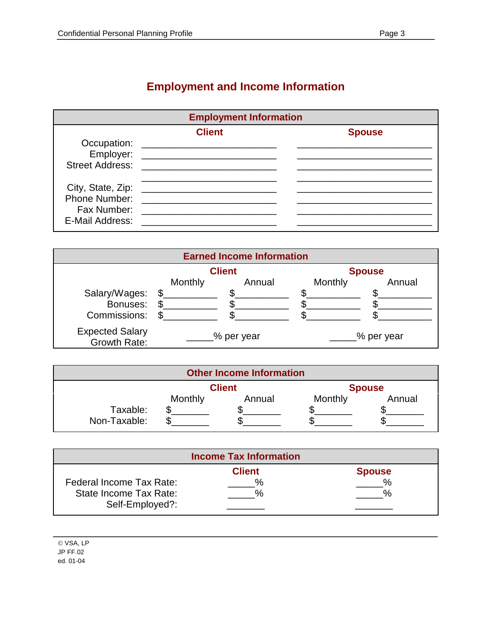# **Employment and Income Information**

| <b>Employment Information</b>                   |                                                              |               |
|-------------------------------------------------|--------------------------------------------------------------|---------------|
|                                                 | <b>Client</b><br>Employer: _________________________________ | <b>Spouse</b> |
| Phone Number:<br>Fax Number:<br>E-Mail Address: |                                                              |               |

| <b>Earned Income Information</b>       |         |            |         |            |
|----------------------------------------|---------|------------|---------|------------|
| <b>Client</b><br><b>Spouse</b>         |         |            |         |            |
|                                        | Monthly | Annual     | Monthly | Annual     |
| Salary/Wages:                          |         |            |         |            |
| Bonuses:                               |         |            |         |            |
| Commissions:                           |         |            |         |            |
| <b>Expected Salary</b><br>Growth Rate: |         | % per year |         | % per year |

| <b>Other Income Information</b> |         |        |         |        |
|---------------------------------|---------|--------|---------|--------|
| <b>Client</b><br><b>Spouse</b>  |         |        |         |        |
| Taxable:<br>Non-Taxable:        | Monthly | Annual | Monthly | Annual |

|                          | <b>Income Tax Information</b> |               |
|--------------------------|-------------------------------|---------------|
|                          | <b>Client</b>                 | <b>Spouse</b> |
| Federal Income Tax Rate: | $\%$                          | $\frac{0}{6}$ |
| State Income Tax Rate:   |                               | $\mathbf{O}/$ |
| Self-Employed?:          |                               |               |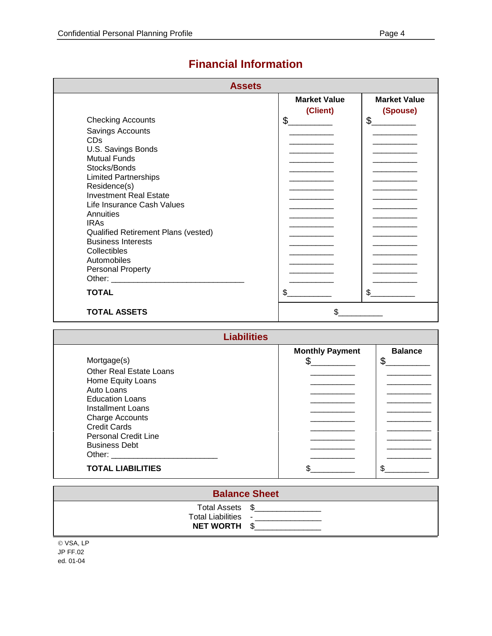| <b>Assets</b>                           |                                 |                                 |  |
|-----------------------------------------|---------------------------------|---------------------------------|--|
|                                         | <b>Market Value</b><br>(Client) | <b>Market Value</b><br>(Spouse) |  |
| <b>Checking Accounts</b>                | \$                              | \$                              |  |
| Savings Accounts                        |                                 |                                 |  |
| <b>CDs</b>                              |                                 |                                 |  |
| U.S. Savings Bonds                      |                                 |                                 |  |
| <b>Mutual Funds</b>                     |                                 |                                 |  |
| Stocks/Bonds                            |                                 |                                 |  |
| <b>Limited Partnerships</b>             |                                 |                                 |  |
| Residence(s)                            |                                 |                                 |  |
| <b>Investment Real Estate</b>           |                                 |                                 |  |
| Life Insurance Cash Values<br>Annuities |                                 |                                 |  |
| <b>IRAs</b>                             |                                 |                                 |  |
| Qualified Retirement Plans (vested)     |                                 |                                 |  |
| <b>Business Interests</b>               |                                 |                                 |  |
| Collectibles                            |                                 |                                 |  |
| Automobiles                             |                                 |                                 |  |
| <b>Personal Property</b>                |                                 |                                 |  |
|                                         |                                 |                                 |  |
| <b>TOTAL</b>                            | \$                              | \$                              |  |
| <b>TOTAL ASSETS</b>                     | \$.                             |                                 |  |

### **Financial Information**

| <b>Liabilities</b>                                                                                                                                                                                                             |                        |                |  |
|--------------------------------------------------------------------------------------------------------------------------------------------------------------------------------------------------------------------------------|------------------------|----------------|--|
|                                                                                                                                                                                                                                | <b>Monthly Payment</b> | <b>Balance</b> |  |
| Mortgage(s)                                                                                                                                                                                                                    |                        | \$             |  |
| <b>Other Real Estate Loans</b>                                                                                                                                                                                                 |                        |                |  |
| Home Equity Loans                                                                                                                                                                                                              |                        |                |  |
| Auto Loans                                                                                                                                                                                                                     |                        |                |  |
| <b>Education Loans</b>                                                                                                                                                                                                         |                        |                |  |
| Installment Loans                                                                                                                                                                                                              |                        |                |  |
| <b>Charge Accounts</b>                                                                                                                                                                                                         |                        |                |  |
| <b>Credit Cards</b>                                                                                                                                                                                                            |                        |                |  |
| <b>Personal Credit Line</b>                                                                                                                                                                                                    |                        |                |  |
| <b>Business Debt</b>                                                                                                                                                                                                           |                        |                |  |
| Other: and the control of the control of the control of the control of the control of the control of the control of the control of the control of the control of the control of the control of the control of the control of t |                        |                |  |
| <b>TOTAL LIABILITIES</b>                                                                                                                                                                                                       |                        |                |  |

| <b>Balance Sheet</b>                       |                 |  |  |
|--------------------------------------------|-----------------|--|--|
| Total Liabilities -<br><b>NET WORTH \$</b> | Total Assets \$ |  |  |
| $\odot$ VCA ID                             |                 |  |  |

© VSA, LF JP FF.02 ed. 01-04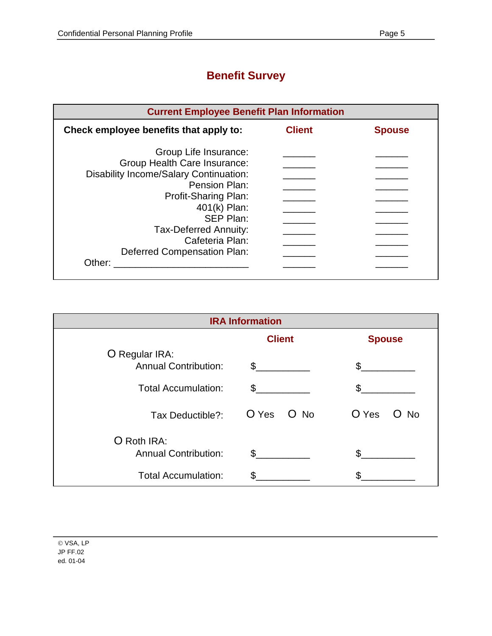## **Benefit Survey**

| <b>Current Employee Benefit Plan Information</b> |               |               |  |
|--------------------------------------------------|---------------|---------------|--|
| Check employee benefits that apply to:           | <b>Client</b> | <b>Spouse</b> |  |
| Group Life Insurance:                            |               |               |  |
| Group Health Care Insurance:                     |               |               |  |
| Disability Income/Salary Continuation:           |               |               |  |
| Pension Plan:                                    |               |               |  |
| Profit-Sharing Plan:                             |               |               |  |
| 401(k) Plan:                                     |               |               |  |
| SEP Plan:                                        |               |               |  |
| Tax-Deferred Annuity:                            |               |               |  |
| Cafeteria Plan:                                  |               |               |  |
| <b>Deferred Compensation Plan:</b>               |               |               |  |
| Other:                                           |               |               |  |
|                                                  |               |               |  |

| <b>IRA Information</b>                        |               |                  |  |
|-----------------------------------------------|---------------|------------------|--|
|                                               | <b>Client</b> | <b>Spouse</b>    |  |
| O Regular IRA:<br><b>Annual Contribution:</b> | $\mathbb{S}$  |                  |  |
| <b>Total Accumulation:</b>                    | \$            |                  |  |
| Tax Deductible?:                              | O Yes O No    | O Yes<br>No<br>O |  |
| O Roth IRA:<br><b>Annual Contribution:</b>    | \$            |                  |  |
| <b>Total Accumulation:</b>                    | S             |                  |  |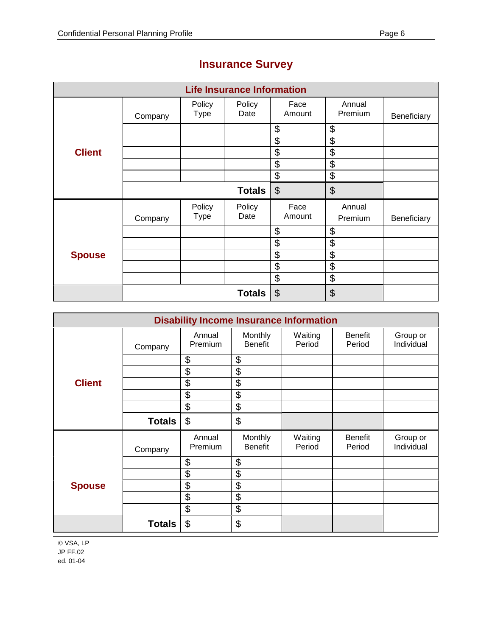| <b>Life Insurance Information</b> |         |                       |                |                           |                   |             |
|-----------------------------------|---------|-----------------------|----------------|---------------------------|-------------------|-------------|
|                                   | Company | Policy<br><b>Type</b> | Policy<br>Date | Face<br>Amount            | Annual<br>Premium | Beneficiary |
|                                   |         |                       |                | \$                        | \$                |             |
|                                   |         |                       |                | \$                        | \$                |             |
| <b>Client</b>                     |         |                       |                | \$                        | \$                |             |
|                                   |         |                       |                | \$                        | \$                |             |
|                                   |         |                       |                | \$                        | \$                |             |
|                                   |         |                       | <b>Totals</b>  | $\boldsymbol{\mathsf{S}}$ | \$                |             |
|                                   | Company | Policy<br><b>Type</b> | Policy<br>Date | Face<br>Amount            | Annual<br>Premium | Beneficiary |
|                                   |         |                       |                | \$                        | \$                |             |
|                                   |         |                       |                | \$                        | \$                |             |
| <b>Spouse</b>                     |         |                       |                | \$                        | \$                |             |
|                                   |         |                       |                | \$                        | \$                |             |
|                                   |         |                       |                | \$                        | \$                |             |
|                                   |         |                       | <b>Totals</b>  | $\boldsymbol{\theta}$     | \$                |             |

# **Insurance Survey**

| <b>Disability Income Insurance Information</b> |               |                   |                           |                   |                          |                        |
|------------------------------------------------|---------------|-------------------|---------------------------|-------------------|--------------------------|------------------------|
|                                                | Company       | Annual<br>Premium | Monthly<br><b>Benefit</b> | Waiting<br>Period | <b>Benefit</b><br>Period | Group or<br>Individual |
|                                                |               | \$                | \$                        |                   |                          |                        |
|                                                |               | \$                | \$                        |                   |                          |                        |
| <b>Client</b>                                  |               | \$                | \$                        |                   |                          |                        |
|                                                |               | \$                | \$                        |                   |                          |                        |
|                                                |               | \$                | \$                        |                   |                          |                        |
|                                                | <b>Totals</b> | \$                | \$                        |                   |                          |                        |
|                                                | Company       | Annual<br>Premium | Monthly<br><b>Benefit</b> | Waiting<br>Period | <b>Benefit</b><br>Period | Group or<br>Individual |
|                                                |               | \$                | \$                        |                   |                          |                        |
|                                                |               | \$                | \$                        |                   |                          |                        |
| <b>Spouse</b>                                  |               | \$                | \$                        |                   |                          |                        |
|                                                |               | \$                | \$                        |                   |                          |                        |
|                                                |               | \$                | \$                        |                   |                          |                        |
|                                                | <b>Totals</b> | \$                | \$                        |                   |                          |                        |

© VSA, LP JP FF.02 ed. 01-04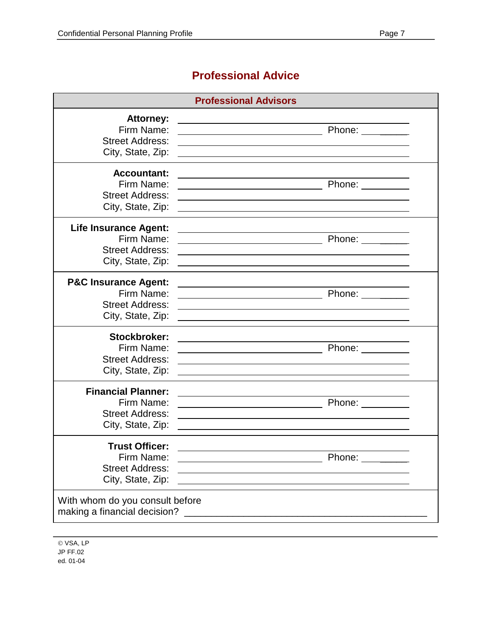### **Professional Advice**

| <b>Professional Advisors</b>                                                           |                                                                                                                                                                                                                                                                                                                                                                                                                                    |  |  |
|----------------------------------------------------------------------------------------|------------------------------------------------------------------------------------------------------------------------------------------------------------------------------------------------------------------------------------------------------------------------------------------------------------------------------------------------------------------------------------------------------------------------------------|--|--|
| <b>Attorney:</b>                                                                       |                                                                                                                                                                                                                                                                                                                                                                                                                                    |  |  |
| Firm Name:                                                                             | Phone: ___                                                                                                                                                                                                                                                                                                                                                                                                                         |  |  |
| <b>Street Address:</b>                                                                 |                                                                                                                                                                                                                                                                                                                                                                                                                                    |  |  |
| City, State, Zip:                                                                      |                                                                                                                                                                                                                                                                                                                                                                                                                                    |  |  |
| <b>Accountant:</b>                                                                     | Phone: $\frac{1}{\sqrt{1-\frac{1}{2}}\cdot\sqrt{1-\frac{1}{2}}\cdot\sqrt{1-\frac{1}{2}}\cdot\sqrt{1-\frac{1}{2}}\cdot\sqrt{1-\frac{1}{2}}\cdot\sqrt{1-\frac{1}{2}}\cdot\sqrt{1-\frac{1}{2}}\cdot\sqrt{1-\frac{1}{2}}\cdot\sqrt{1-\frac{1}{2}}\cdot\sqrt{1-\frac{1}{2}}\cdot\sqrt{1-\frac{1}{2}}\cdot\sqrt{1-\frac{1}{2}}\cdot\sqrt{1-\frac{1}{2}}\cdot\sqrt{1-\frac{1}{2}}\cdot\sqrt{1-\frac{1}{2}}\cdot\sqrt{1-\frac{1}{2}}\cdot$ |  |  |
| Firm Name:                                                                             |                                                                                                                                                                                                                                                                                                                                                                                                                                    |  |  |
| <b>Street Address:</b>                                                                 |                                                                                                                                                                                                                                                                                                                                                                                                                                    |  |  |
| City, State, Zip:                                                                      |                                                                                                                                                                                                                                                                                                                                                                                                                                    |  |  |
| <b>Life Insurance Agent:</b>                                                           | Phone: _____                                                                                                                                                                                                                                                                                                                                                                                                                       |  |  |
| Firm Name:                                                                             | <u> 1989 - Johann Barnett, fransk politik (d. 1989)</u>                                                                                                                                                                                                                                                                                                                                                                            |  |  |
| <b>Street Address:</b>                                                                 |                                                                                                                                                                                                                                                                                                                                                                                                                                    |  |  |
| City, State, Zip:                                                                      |                                                                                                                                                                                                                                                                                                                                                                                                                                    |  |  |
| <b>P&amp;C Insurance Agent:</b>                                                        | <u> 1989 - Johann Barn, mars ann an t-Amhain ann an t-Amhain an t-Amhain an t-Amhain an t-Amhain an t-Amhain an t-</u>                                                                                                                                                                                                                                                                                                             |  |  |
| Firm Name:                                                                             | Phone: ___                                                                                                                                                                                                                                                                                                                                                                                                                         |  |  |
| <b>Street Address:</b>                                                                 | <u> 1980 - Johann Barn, mars ann an t-Amhainn an t-Amhainn an t-Amhainn an t-Amhainn an t-Amhainn an t-Amhainn an</u>                                                                                                                                                                                                                                                                                                              |  |  |
| City, State, Zip:                                                                      |                                                                                                                                                                                                                                                                                                                                                                                                                                    |  |  |
| Stockbroker:                                                                           |                                                                                                                                                                                                                                                                                                                                                                                                                                    |  |  |
| Firm Name:                                                                             | Phone: _____                                                                                                                                                                                                                                                                                                                                                                                                                       |  |  |
| <b>Street Address:</b>                                                                 |                                                                                                                                                                                                                                                                                                                                                                                                                                    |  |  |
| City, State, Zip:                                                                      |                                                                                                                                                                                                                                                                                                                                                                                                                                    |  |  |
| <b>Financial Planner:</b><br>Firm Name:<br><b>Street Address:</b><br>City, State, Zip: | Phone: $\frac{1}{2}$                                                                                                                                                                                                                                                                                                                                                                                                               |  |  |
| <b>Trust Officer:</b><br>Firm Name:<br><b>Street Address:</b><br>City, State, Zip:     | Phone: ________<br><u> 1989 - Jan James James Jan James James James James James James James James James James James James James James</u>                                                                                                                                                                                                                                                                                          |  |  |
| With whom do you consult before<br>making a financial decision?                        |                                                                                                                                                                                                                                                                                                                                                                                                                                    |  |  |

© VSA, LP JP FF.02 ed. 01-04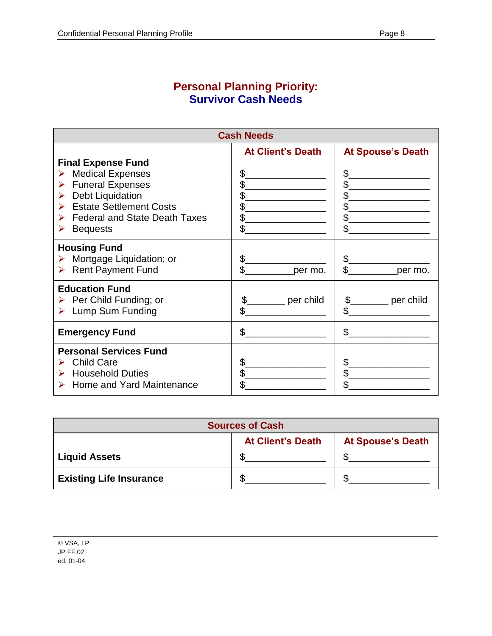#### **Personal Planning Priority: Survivor Cash Needs**

| <b>Cash Needs</b>                                                                                                                                                                                                              |                                                              |                                                              |  |  |
|--------------------------------------------------------------------------------------------------------------------------------------------------------------------------------------------------------------------------------|--------------------------------------------------------------|--------------------------------------------------------------|--|--|
| <b>Final Expense Fund</b><br><b>Medical Expenses</b><br>➤<br><b>Funeral Expenses</b><br>➤<br>Debt Liquidation<br>➤<br><b>Estate Settlement Costs</b><br>➤<br><b>Federal and State Death Taxes</b><br>➤<br><b>Bequests</b><br>➤ | <b>At Client's Death</b><br>\$<br>\$<br>\$<br>\$<br>\$<br>\$ | <b>At Spouse's Death</b><br>\$<br>\$<br>\$<br>\$<br>\$<br>\$ |  |  |
| <b>Housing Fund</b><br>Mortgage Liquidation; or<br>➤<br>> Rent Payment Fund                                                                                                                                                    | \$<br>\$<br>per mo.                                          | \$<br>$\mathfrak{L}$<br>per mo.                              |  |  |
| <b>Education Fund</b><br>Per Child Funding; or<br>$\triangleright$ Lump Sum Funding                                                                                                                                            | \$<br>per child<br>\$                                        | per child<br>\$                                              |  |  |
| <b>Emergency Fund</b>                                                                                                                                                                                                          | \$                                                           | \$                                                           |  |  |
| <b>Personal Services Fund</b><br><b>Child Care</b><br>⋗<br><b>Household Duties</b><br>➤<br>> Home and Yard Maintenance                                                                                                         | \$<br>\$<br>\$                                               | \$<br>\$<br>\$                                               |  |  |

| <b>Sources of Cash</b>                               |  |  |  |  |
|------------------------------------------------------|--|--|--|--|
| <b>At Client's Death</b><br><b>At Spouse's Death</b> |  |  |  |  |
| <b>Liquid Assets</b>                                 |  |  |  |  |
| <b>Existing Life Insurance</b>                       |  |  |  |  |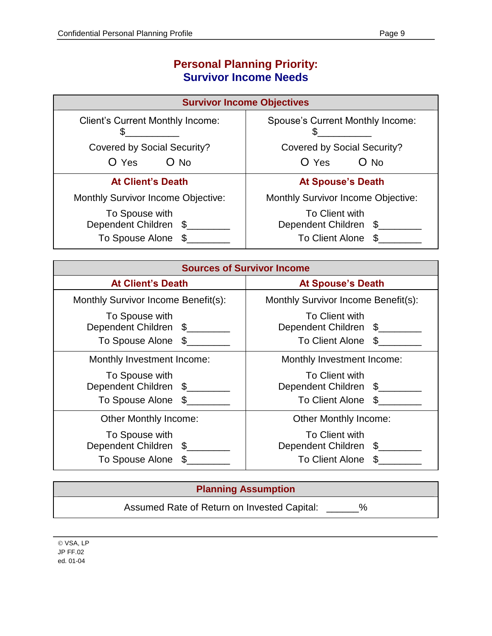### **Personal Planning Priority: Survivor Income Needs**

| <b>Survivor Income Objectives</b>                             |                                                            |  |  |
|---------------------------------------------------------------|------------------------------------------------------------|--|--|
| <b>Client's Current Monthly Income:</b>                       | Spouse's Current Monthly Income:                           |  |  |
| <b>Covered by Social Security?</b>                            | <b>Covered by Social Security?</b>                         |  |  |
| $O$ No<br>O Yes                                               | O Yes<br>$O$ No                                            |  |  |
| <b>At Client's Death</b>                                      | <b>At Spouse's Death</b>                                   |  |  |
| <b>Monthly Survivor Income Objective:</b>                     | <b>Monthly Survivor Income Objective:</b>                  |  |  |
| To Spouse with<br>Dependent Children \$<br>To Spouse Alone \$ | To Client with<br>Dependent Children \$<br>To Client Alone |  |  |

| <b>Sources of Survivor Income</b>                             |                                                                               |  |  |
|---------------------------------------------------------------|-------------------------------------------------------------------------------|--|--|
| <b>At Client's Death</b>                                      | <b>At Spouse's Death</b>                                                      |  |  |
| Monthly Survivor Income Benefit(s):                           | Monthly Survivor Income Benefit(s):                                           |  |  |
| To Spouse with<br>Dependent Children \$<br>To Spouse Alone \$ | To Client with<br>Dependent Children \$<br>To Client Alone<br>\$              |  |  |
| Monthly Investment Income:                                    | Monthly Investment Income:                                                    |  |  |
| To Spouse with<br>Dependent Children \$<br>To Spouse Alone \$ | To Client with<br>Dependent Children \$<br>To Client Alone \$                 |  |  |
| <b>Other Monthly Income:</b>                                  | <b>Other Monthly Income:</b>                                                  |  |  |
| To Spouse with<br>Dependent Children \$<br>To Spouse Alone \$ | To Client with<br>Dependent Children<br>$\mathbb{S}$<br>To Client Alone<br>\$ |  |  |

#### **Planning Assumption**

Assumed Rate of Return on Invested Capital: \_\_\_\_\_\_%

VSA, LP JP FF.02 ed. 01-04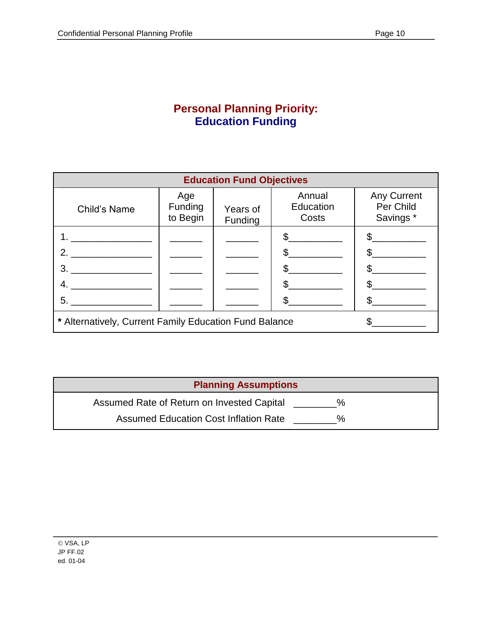#### **Personal Planning Priority: Education Funding**

| <b>Education Fund Objectives</b>                       |                                   |                     |                              |                                       |  |
|--------------------------------------------------------|-----------------------------------|---------------------|------------------------------|---------------------------------------|--|
| Child's Name                                           | Age<br><b>Funding</b><br>to Begin | Years of<br>Funding | Annual<br>Education<br>Costs | Any Current<br>Per Child<br>Savings * |  |
|                                                        |                                   |                     |                              |                                       |  |
| $2_{-}$                                                |                                   |                     |                              |                                       |  |
| 3.                                                     |                                   |                     |                              |                                       |  |
| 4.                                                     |                                   |                     |                              |                                       |  |
| 5.                                                     |                                   |                     |                              |                                       |  |
| * Alternatively, Current Family Education Fund Balance |                                   |                     |                              |                                       |  |

| <b>Planning Assumptions</b>                                 |  |
|-------------------------------------------------------------|--|
| Assumed Rate of Return on Invested Capital<br>$\frac{1}{2}$ |  |
| Assumed Education Cost Inflation Rate<br>$\%$               |  |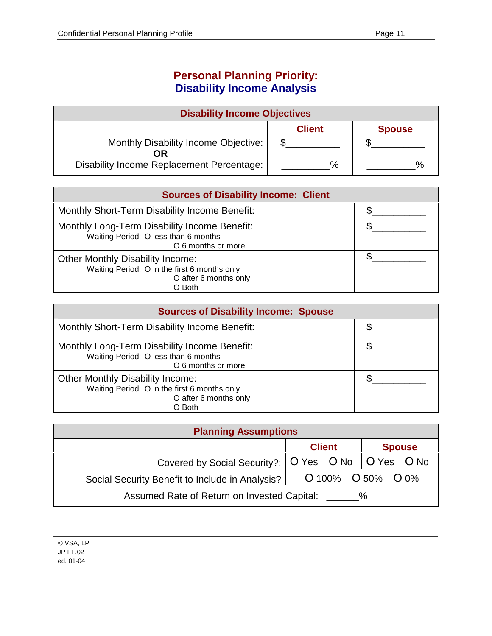#### **Personal Planning Priority: Disability Income Analysis**

| <b>Disability Income Objectives</b>              |               |               |
|--------------------------------------------------|---------------|---------------|
|                                                  | <b>Client</b> | <b>Spouse</b> |
| Monthly Disability Income Objective:<br>OR       |               |               |
| <b>Disability Income Replacement Percentage:</b> | $\%$          |               |

| <b>Sources of Disability Income: Client</b>                                                                                |  |
|----------------------------------------------------------------------------------------------------------------------------|--|
| Monthly Short-Term Disability Income Benefit:                                                                              |  |
| Monthly Long-Term Disability Income Benefit:<br>Waiting Period: O less than 6 months<br>O 6 months or more                 |  |
| <b>Other Monthly Disability Income:</b><br>Waiting Period: O in the first 6 months only<br>O after 6 months only<br>O Both |  |

| <b>Sources of Disability Income: Spouse</b>                                                                                |  |
|----------------------------------------------------------------------------------------------------------------------------|--|
| Monthly Short-Term Disability Income Benefit:                                                                              |  |
| Monthly Long-Term Disability Income Benefit:<br>Waiting Period: O less than 6 months<br>O 6 months or more                 |  |
| <b>Other Monthly Disability Income:</b><br>Waiting Period: O in the first 6 months only<br>O after 6 months only<br>O Both |  |

| <b>Planning Assumptions</b>                            |               |                   |  |
|--------------------------------------------------------|---------------|-------------------|--|
|                                                        | <b>Client</b> | <b>Spouse</b>     |  |
| Covered by Social Security?:   O Yes O No   O Yes O No |               |                   |  |
| Social Security Benefit to Include in Analysis?        |               | O 100% O 50% O 0% |  |
| Assumed Rate of Return on Invested Capital:            |               | $\%$              |  |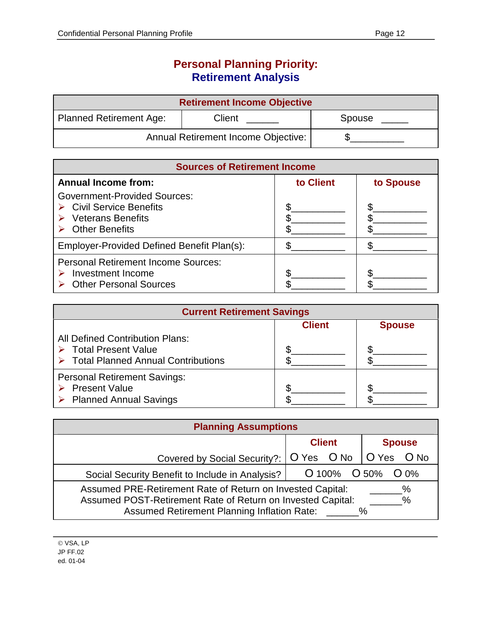### **Personal Planning Priority: Retirement Analysis**

| <b>Retirement Income Objective</b>  |        |        |  |
|-------------------------------------|--------|--------|--|
| Planned Retirement Age:             | Client | Spouse |  |
| Annual Retirement Income Objective: |        |        |  |

| <b>Sources of Retirement Income</b>                                                                                                 |           |           |  |
|-------------------------------------------------------------------------------------------------------------------------------------|-----------|-----------|--|
| <b>Annual Income from:</b>                                                                                                          | to Client | to Spouse |  |
| <b>Government-Provided Sources:</b><br>$\triangleright$ Civil Service Benefits<br><b>Veterans Benefits</b><br><b>Other Benefits</b> |           |           |  |
| Employer-Provided Defined Benefit Plan(s):                                                                                          |           |           |  |
| <b>Personal Retirement Income Sources:</b><br>Investment Income<br><b>Other Personal Sources</b>                                    |           |           |  |

| <b>Current Retirement Savings</b>                                                                                           |               |               |  |
|-----------------------------------------------------------------------------------------------------------------------------|---------------|---------------|--|
|                                                                                                                             | <b>Client</b> | <b>Spouse</b> |  |
| <b>All Defined Contribution Plans:</b><br><b>Total Present Value</b><br>$\triangleright$ Total Planned Annual Contributions |               |               |  |
| <b>Personal Retirement Savings:</b><br><b>Present Value</b><br><b>Planned Annual Savings</b>                                |               |               |  |

| <b>Planning Assumptions</b>                                                                                                                                                                       |               |                                      |
|---------------------------------------------------------------------------------------------------------------------------------------------------------------------------------------------------|---------------|--------------------------------------|
|                                                                                                                                                                                                   | <b>Client</b> | <b>Spouse</b>                        |
| Covered by Social Security?:   O Yes O No                                                                                                                                                         |               | $\overline{O}$ Yes $\overline{O}$ No |
| Social Security Benefit to Include in Analysis?                                                                                                                                                   |               | $O$ 100% $O$ 50% $O$ 0%              |
| Assumed PRE-Retirement Rate of Return on Invested Capital:<br>%<br>Assumed POST-Retirement Rate of Return on Invested Capital:<br>$\%$<br><b>Assumed Retirement Planning Inflation Rate:</b><br>% |               |                                      |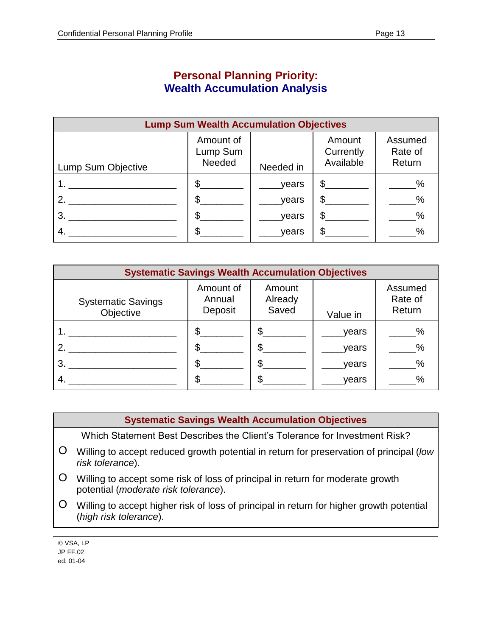#### **Personal Planning Priority: Wealth Accumulation Analysis**

| <b>Lump Sum Wealth Accumulation Objectives</b> |                                 |           |                                  |                              |
|------------------------------------------------|---------------------------------|-----------|----------------------------------|------------------------------|
| Lump Sum Objective                             | Amount of<br>Lump Sum<br>Needed | Needed in | Amount<br>Currently<br>Available | Assumed<br>Rate of<br>Return |
|                                                | \$.                             | years     | $\mathbb{S}$                     | $\%$                         |
| 2.                                             | \$                              | years     | \$                               | $\%$                         |
| 3.                                             | S                               | years     | \$                               | $\frac{0}{0}$                |
|                                                |                                 | years     | \$                               | $\%$                         |

| <b>Systematic Savings Wealth Accumulation Objectives</b> |                                |                            |          |                              |
|----------------------------------------------------------|--------------------------------|----------------------------|----------|------------------------------|
| <b>Systematic Savings</b><br>Objective                   | Amount of<br>Annual<br>Deposit | Amount<br>Already<br>Saved | Value in | Assumed<br>Rate of<br>Return |
|                                                          |                                |                            | years    | $\%$                         |
| $2^{\circ}$                                              |                                |                            | years    | $\frac{0}{0}$                |
| 3.                                                       |                                |                            | years    | $\%$                         |
|                                                          |                                |                            | vears    | $\%$                         |

#### **Systematic Savings Wealth Accumulation Objectives**

Which Statement Best Describes the Client's Tolerance for Investment Risk?

- O Willing to accept reduced growth potential in return for preservation of principal (*low risk tolerance*).
- O Willing to accept some risk of loss of principal in return for moderate growth potential (*moderate risk tolerance*).
- O Willing to accept higher risk of loss of principal in return for higher growth potential (*high risk tolerance*).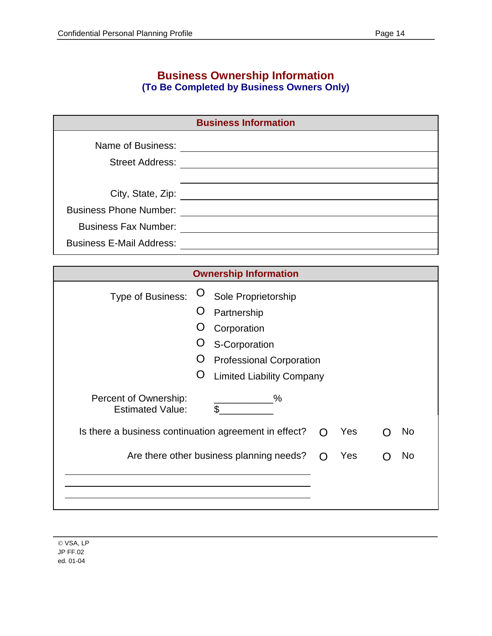#### **Business Ownership Information (To Be Completed by Business Owners Only)**

| <b>Business Information</b>     |  |  |
|---------------------------------|--|--|
| Name of Business:               |  |  |
|                                 |  |  |
| <b>Street Address:</b>          |  |  |
|                                 |  |  |
| City, State, Zip:               |  |  |
| <b>Business Phone Number:</b>   |  |  |
| <b>Business Fax Number:</b>     |  |  |
| <b>Business E-Mail Address:</b> |  |  |

| <b>Ownership Information</b>                     |                                                       |                                  |     |     |    |     |
|--------------------------------------------------|-------------------------------------------------------|----------------------------------|-----|-----|----|-----|
| Type of Business:                                | O                                                     | Sole Proprietorship              |     |     |    |     |
|                                                  | O                                                     | Partnership                      |     |     |    |     |
|                                                  |                                                       | Corporation                      |     |     |    |     |
|                                                  |                                                       | S-Corporation                    |     |     |    |     |
|                                                  | ( )                                                   | <b>Professional Corporation</b>  |     |     |    |     |
|                                                  | Ő                                                     | <b>Limited Liability Company</b> |     |     |    |     |
| Percent of Ownership:<br><b>Estimated Value:</b> |                                                       | $\%$<br>$\mathfrak{L}$           |     |     |    |     |
|                                                  | Is there a business continuation agreement in effect? |                                  |     | Yes |    | No. |
| Are there other business planning needs?         |                                                       |                                  | Yes |     | No |     |
|                                                  |                                                       |                                  |     |     |    |     |
|                                                  |                                                       |                                  |     |     |    |     |
|                                                  |                                                       |                                  |     |     |    |     |